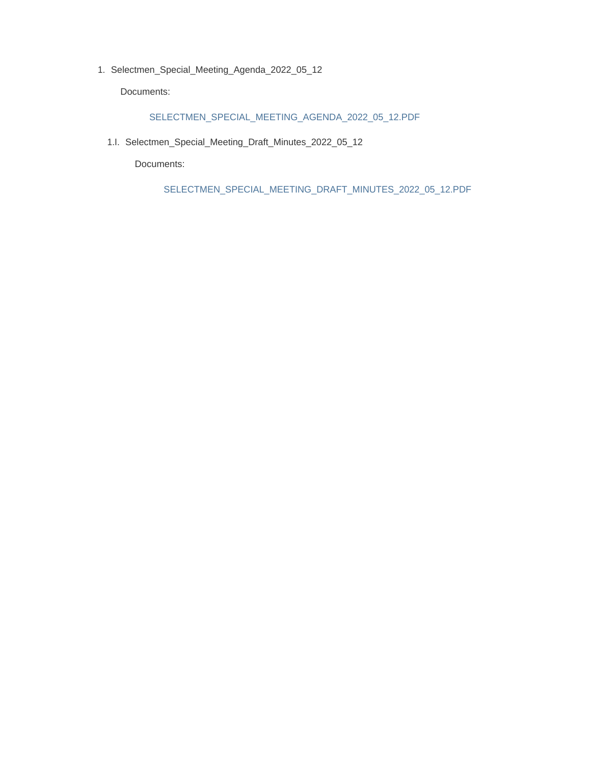1. Selectmen\_Special\_Meeting\_Agenda\_2022\_05\_12

Documents:

#### SELECTMEN\_SPECIAL\_MEETING\_AGENDA\_2022\_05\_12.PDF

1.I. Selectmen\_Special\_Meeting\_Draft\_Minutes\_2022\_05\_12

Documents:

SELECTMEN\_SPECIAL\_MEETING\_DRAFT\_MINUTES\_2022\_05\_12.PDF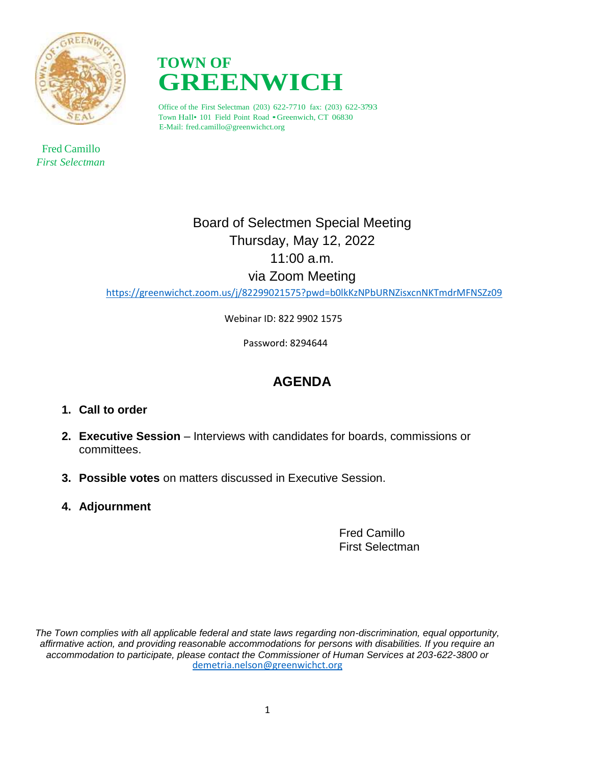

 Fred Camillo *First Selectman*



Office of the First Selectman (203) 622-7710 fax: (203) 622-3793 Town Hall• <sup>101</sup> Field Point Road •Greenwich, CT 06830 E-Mail: fred.camillo@greenwichct.org

# Board of Selectmen Special Meeting Thursday, May 12, 2022 11:00 a.m. via Zoom Meeting

<https://greenwichct.zoom.us/j/82299021575?pwd=b0lkKzNPbURNZisxcnNKTmdrMFNSZz09>

Webinar ID: 822 9902 1575

Password: 8294644

# **AGENDA**

- **1. Call to order**
- **2. Executive Session** Interviews with candidates for boards, commissions or committees.
- **3. Possible votes** on matters discussed in Executive Session.
- **4. Adjournment**

Fred Camillo First Selectman

*The Town complies with all applicable federal and state laws regarding non-discrimination, equal opportunity, affirmative action, and providing reasonable accommodations for persons with disabilities. If you require an accommodation to participate, please contact the Commissioner of Human Services at 203-622-3800 or* [demetria.nelson@greenwichct.org](mailto:demetria.nelson@greenwichct.org)